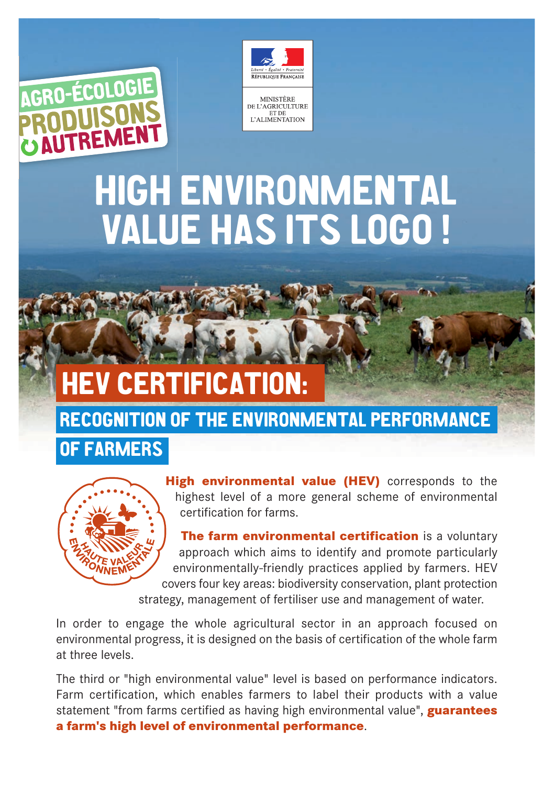



MINISTÈRE<br>DE L'AGRICULTURE *JE L'ASKICULI UK*<br>ET DE<br>L'ALIMENTATION

# **HIGH ENVIRONMENTAL VALUE HAS ITS LOGO !**

## **HEV CERTIFICATION:**

#### **RECOGNITION OF THE ENVIRONMENTAL PERFORMANCE**

#### **OF FARMERS**



**High environmental value (HEV)** corresponds to the highest level of a more general scheme of environmental certification for farms.

**The farm environmental certification** is a voluntary approach which aims to identify and promote particularly environmentally-friendly practices applied by farmers. HEV covers four key areas: biodiversity conservation, plant protection

strategy, management of fertiliser use and management of water.

In order to engage the whole agricultural sector in an approach focused on environmental progress, it is designed on the basis of certification of the whole farm at three levels.

The third or "high environmental value" level is based on performance indicators. Farm certification, which enables farmers to label their products with a value statement "from farms certified as having high environmental value", **guarantees a farm's high level of environmental performance**.